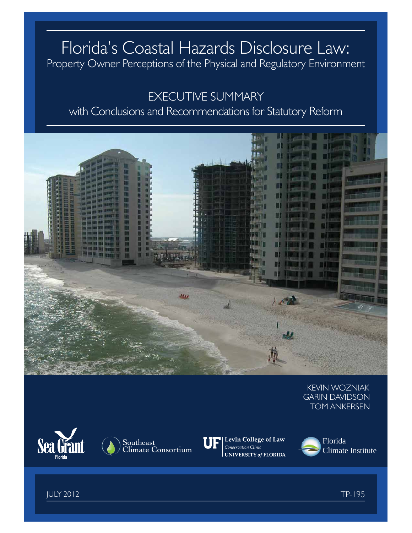# Florida's Coastal Hazards Disclosure Law: Property Owner Perceptions of the Physical and Regulatory Environment

# EXECUTIVE SUMMARY with Conclusions and Recommendations for Statutory Reform



KEVIN WOZNIAK GARIN DAVIDSON TOM ANKERSEN





Levin College of Law Conservation Clinic **UNIVERSITY of FLORIDA** 



JULY 2012 TP-195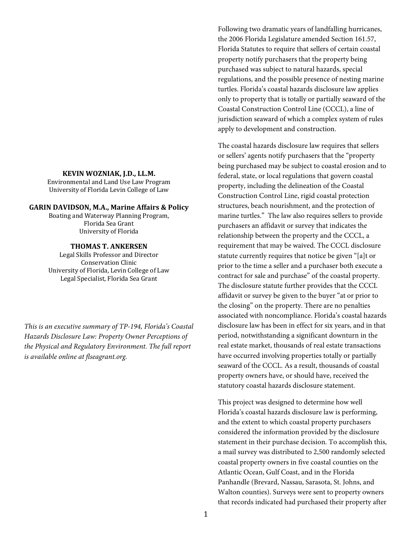#### **KEVIN WOZNIAK, J.D., LL.M.**

Environmental and Land Use Law Program University of Florida Levin College of Law

### **GARIN DAVIDSON, M.A., Marine Affairs & Policy**

Boating and Waterway Planning Program, Florida Sea Grant University of Florida

#### **THOMAS T. ANKERSEN**

Legal Skills Professor and Director Conservation Clinic University of Florida, Levin College of Law Legal Specialist, Florida Sea Grant

*This is an executive summary of TP-194, Florida's Coastal Hazards Disclosure Law: Property Owner Perceptions of the Physical and Regulatory Environment. The full report is available online at flseagrant.org.*

Following two dramatic years of landfalling hurricanes, the 2006 Florida Legislature amended Section 161.57, Florida Statutes to require that sellers of certain coastal property notify purchasers that the property being purchased was subject to natural hazards, special regulations, and the possible presence of nesting marine turtles. Florida's coastal hazards disclosure law applies only to property that is totally or partially seaward of the Coastal Construction Control Line (CCCL), a line of jurisdiction seaward of which a complex system of rules apply to development and construction.

The coastal hazards disclosure law requires that sellers or sellers' agents notify purchasers that the "property being purchased may be subject to coastal erosion and to federal, state, or local regulations that govern coastal property, including the delineation of the Coastal Construction Control Line, rigid coastal protection structures, beach nourishment, and the protection of marine turtles." The law also requires sellers to provide purchasers an affidavit or survey that indicates the relationship between the property and the CCCL, a requirement that may be waived. The CCCL disclosure statute currently requires that notice be given "[a]t or prior to the time a seller and a purchaser both execute a contract for sale and purchase" of the coastal property. The disclosure statute further provides that the CCCL affidavit or survey be given to the buyer "at or prior to the closing" on the property. There are no penalties associated with noncompliance. Florida's coastal hazards disclosure law has been in effect for six years, and in that period, notwithstanding a significant downturn in the real estate market, thousands of real estate transactions have occurred involving properties totally or partially seaward of the CCCL. As a result, thousands of coastal property owners have, or should have, received the statutory coastal hazards disclosure statement.

This project was designed to determine how well Florida's coastal hazards disclosure law is performing, and the extent to which coastal property purchasers considered the information provided by the disclosure statement in their purchase decision. To accomplish this, a mail survey was distributed to 2,500 randomly selected coastal property owners in five coastal counties on the Atlantic Ocean, Gulf Coast, and in the Florida Panhandle (Brevard, Nassau, Sarasota, St. Johns, and Walton counties). Surveys were sent to property owners that records indicated had purchased their property after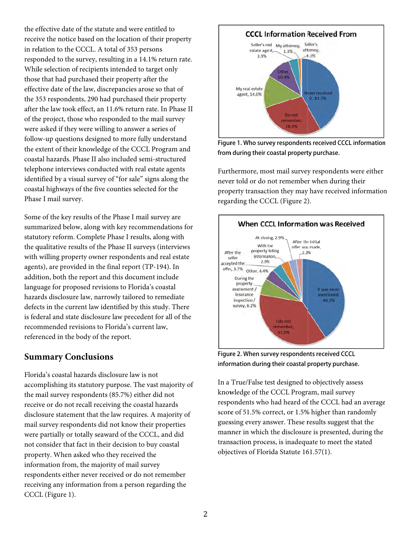the effective date of the statute and were entitled to receive the notice based on the location of their property in relation to the CCCL. A total of 353 persons responded to the survey, resulting in a 14.1% return rate. While selection of recipients intended to target only those that had purchased their property after the effective date of the law, discrepancies arose so that of the 353 respondents, 290 had purchased their property after the law took effect, an 11.6% return rate. In Phase II of the project, those who responded to the mail survey were asked if they were willing to answer a series of follow-up questions designed to more fully understand the extent of their knowledge of the CCCL Program and coastal hazards. Phase II also included semi-structured telephone interviews conducted with real estate agents identified by a visual survey of "for sale" signs along the coastal highways of the five counties selected for the Phase I mail survey.

Some of the key results of the Phase I mail survey are summarized below, along with key recommendations for statutory reform. Complete Phase I results, along with the qualitative results of the Phase II surveys (interviews with willing property owner respondents and real estate agents), are provided in the final report (TP-194). In addition, both the report and this document include language for proposed revisions to Florida's coastal hazards disclosure law, narrowly tailored to remediate defects in the current law identified by this study. There is federal and state disclosure law precedent for all of the recommended revisions to Florida's current law. referenced in the body of the report.

## **Summary Conclusions**

Florida's coastal hazards disclosure law is not accomplishing its statutory purpose. The vast majority of the mail survey respondents (85.7%) either did not receive or do not recall receiving the coastal hazards disclosure statement that the law requires. A majority of mail survey respondents did not know their properties were partially or totally seaward of the CCCL, and did not consider that fact in their decision to buy coastal property. When asked who they received the information from, the majority of mail survey respondents either never received or do not remember receiving any information from a person regarding the CCCL (Figure 1).



Figure 1. Who survey respondents received CCCL information from during their coastal property purchase.

Furthermore, most mail survey respondents were either never told or do not remember when during their property transaction they may have received information regarding the CCCL (Figure 2).



Figure 2. When survey respondents received CCCL information during their coastal property purchase.

In a True/False test designed to objectively assess knowledge of the CCCL Program, mail survey respondents who had heard of the CCCL had an average score of 51.5% correct, or 1.5% higher than randomly guessing every answer. These results suggest that the manner in which the disclosure is presented, during the transaction process, is inadequate to meet the stated objectives of Florida Statute 161.57(1).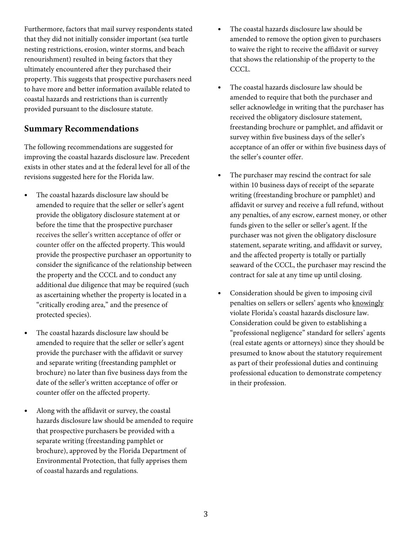Furthermore, factors that mail survey respondents stated that they did not initially consider important (sea turtle nesting restrictions, erosion, winter storms, and beach renourishment) resulted in being factors that they ultimately encountered after they purchased their property. This suggests that prospective purchasers need to have more and better information available related to coastal hazards and restrictions than is currently provided pursuant to the disclosure statute.

## **Summary Recommendations**

The following recommendations are suggested for improving the coastal hazards disclosure law. Precedent exists in other states and at the federal level for all of the revisions suggested here for the Florida law.

- The coastal hazards disclosure law should be amended to require that the seller or seller's agent provide the obligatory disclosure statement at or before the time that the prospective purchaser receives the seller's written acceptance of offer or counter offer on the affected property. This would provide the prospective purchaser an opportunity to consider the significance of the relationship between the property and the CCCL and to conduct any additional due diligence that may be required (such as ascertaining whether the property is located in a "critically eroding area," and the presence of protected species).
- The coastal hazards disclosure law should be amended to require that the seller or seller's agent provide the purchaser with the affidavit or survey and separate writing (freestanding pamphlet or brochure) no later than five business days from the date of the seller's written acceptance of offer or counter offer on the affected property.
- Along with the affidavit or survey, the coastal hazards disclosure law should be amended to require that prospective purchasers be provided with a separate writing (freestanding pamphlet or brochure), approved by the Florida Department of Environmental Protection, that fully apprises them of coastal hazards and regulations.
- The coastal hazards disclosure law should be amended to remove the option given to purchasers to waive the right to receive the affidavit or survey that shows the relationship of the property to the CCCL.
- The coastal hazards disclosure law should be amended to require that both the purchaser and seller acknowledge in writing that the purchaser has received the obligatory disclosure statement, freestanding brochure or pamphlet, and affidavit or survey within five business days of the seller's acceptance of an offer or within five business days of the seller's counter offer.
- The purchaser may rescind the contract for sale within 10 business days of receipt of the separate writing (freestanding brochure or pamphlet) and affidavit or survey and receive a full refund, without any penalties, of any escrow, earnest money, or other funds given to the seller or seller's agent. If the purchaser was not given the obligatory disclosure statement, separate writing, and affidavit or survey, and the affected property is totally or partially seaward of the CCCL, the purchaser may rescind the contract for sale at any time up until closing.
- Consideration should be given to imposing civil penalties on sellers or sellers' agents who knowingly violate Florida's coastal hazards disclosure law. Consideration could be given to establishing a "professional negligence" standard for sellers' agents (real estate agents or attorneys) since they should be presumed to know about the statutory requirement as part of their professional duties and continuing professional education to demonstrate competency in their profession.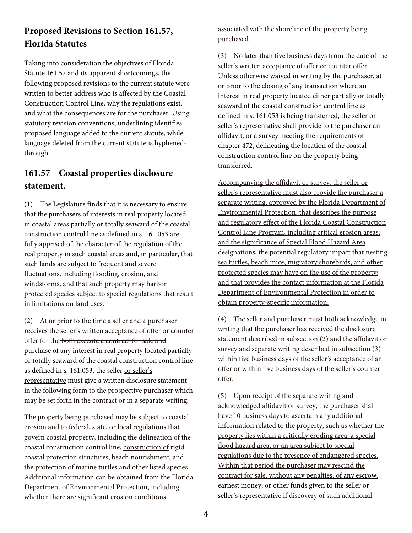## **Proposed Revisions to Section 161.57, Florida Statutes**

Taking into consideration the objectives of Florida Statute 161.57 and its apparent shortcomings, the following proposed revisions to the current statute were written to better address who is affected by the Coastal Construction Control Line, why the regulations exist, and what the consequences are for the purchaser. Using statutory revision conventions, underlining identifies proposed language added to the current statute, while language deleted from the current statute is hyphenedthrough.

## **161.57 Coastal properties disclosure statement.**

(1) The Legislature finds that it is necessary to ensure that the purchasers of interests in real property located in coastal areas partially or totally seaward of the coastal construction control line as defined in s. 161.053 are fully apprised of the character of the regulation of the real property in such coastal areas and, in particular, that such lands are subject to frequent and severe fluctuations, including flooding, erosion, and windstorms, and that such property may harbor protected species subject to special regulations that result in limitations on land uses.

(2) At or prior to the time  $a$  seller and a purchaser receives the seller's written acceptance of offer or counter offer for the both execute a contract for sale and purchase of any interest in real property located partially or totally seaward of the coastal construction control line as defined in s. 161.053, the seller or seller's representative must give a written disclosure statement in the following form to the prospective purchaser which may be set forth in the contract or in a separate writing:

The property being purchased may be subject to coastal erosion and to federal, state, or local regulations that govern coastal property, including the delineation of the coastal construction control line, construction of rigid coastal protection structures, beach nourishment, and the protection of marine turtles and other listed species. Additional information can be obtained from the Florida Department of Environmental Protection, including whether there are significant erosion conditions

associated with the shoreline of the property being purchased.

(3) No later than five business days from the date of the seller's written acceptance of offer or counter offer Unless otherwise waived in writing by the purchaser, at or prior to the closing of any transaction where an interest in real property located either partially or totally seaward of the coastal construction control line as defined in s. 161.053 is being transferred, the seller or seller's representative shall provide to the purchaser an affidavit, or a survey meeting the requirements of chapter 472, delineating the location of the coastal construction control line on the property being transferred.

Accompanying the affidavit or survey, the seller or seller's representative must also provide the purchaser a separate writing, approved by the Florida Department of Environmental Protection, that describes the purpose and regulatory effect of the Florida Coastal Construction Control Line Program, including critical erosion areas; and the significance of Special Flood Hazard Area designations, the potential regulatory impact that nesting sea turtles, beach mice, migratory shorebirds, and other protected species may have on the use of the property; and that provides the contact information at the Florida Department of Environmental Protection in order to obtain property-specific information.

(4) The seller and purchaser must both acknowledge in writing that the purchaser has received the disclosure statement described in subsection (2) and the affidavit or survey and separate writing described in subsection (3) within five business days of the seller's acceptance of an offer or within five business days of the seller's counter offer.

(5) Upon receipt of the separate writing and acknowledged affidavit or survey, the purchaser shall have 10 business days to ascertain any additional information related to the property, such as whether the property lies within a critically eroding area, a special flood hazard area, or an area subject to special regulations due to the presence of endangered species. Within that period the purchaser may rescind the contract for sale, without any penalties, of any escrow, earnest money, or other funds given to the seller or seller's representative if discovery of such additional